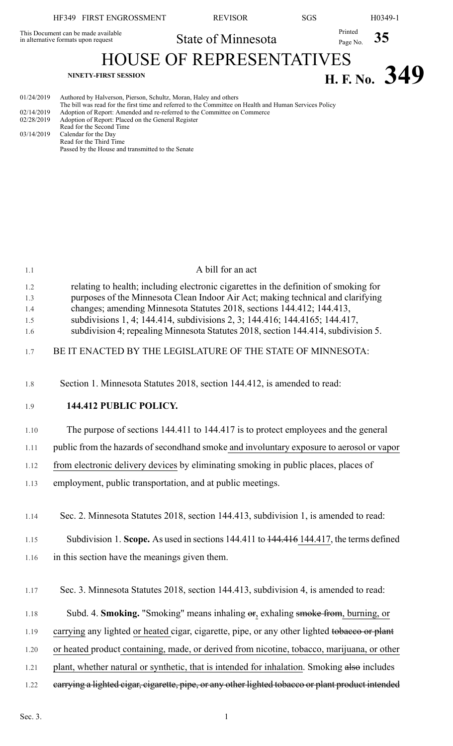| HF349 FIRST ENGROSSMENT                                                    | <b>REVISOR</b>                  | SGS |                     | H <sub>0</sub> 349-1 |
|----------------------------------------------------------------------------|---------------------------------|-----|---------------------|----------------------|
| This Document can be made available<br>in alternative formats upon request | State of Minnesota              |     | Printed<br>Page No. |                      |
| <b>NINETY-FIRST SESSION</b>                                                | <b>HOUSE OF REPRESENTATIVES</b> |     |                     | H. F. No. $349$      |

| 01/24/2019 | Authored by Halverson, Pierson, Schultz, Moran, Haley and others                                       |
|------------|--------------------------------------------------------------------------------------------------------|
|            | The bill was read for the first time and referred to the Committee on Health and Human Services Policy |
| 02/14/2019 | Adoption of Report: Amended and re-referred to the Committee on Commerce                               |
| 02/28/2019 | Adoption of Report: Placed on the General Register                                                     |
|            | Read for the Second Time                                                                               |
| 03/14/2019 | Calendar for the Day                                                                                   |
|            | Read for the Third Time                                                                                |

Passed by the House and transmitted to the Senate

| 1.1        | A bill for an act                                                                                                                                               |
|------------|-----------------------------------------------------------------------------------------------------------------------------------------------------------------|
| 1.2        | relating to health; including electronic cigarettes in the definition of smoking for                                                                            |
| 1.3        | purposes of the Minnesota Clean Indoor Air Act; making technical and clarifying                                                                                 |
| 1.4        | changes; amending Minnesota Statutes 2018, sections 144.412; 144.413,                                                                                           |
| 1.5<br>1.6 | subdivisions 1, 4; 144.414, subdivisions 2, 3; 144.416; 144.4165; 144.417,<br>subdivision 4; repealing Minnesota Statutes 2018, section 144.414, subdivision 5. |
| 1.7        | BE IT ENACTED BY THE LEGISLATURE OF THE STATE OF MINNESOTA:                                                                                                     |
| 1.8        | Section 1. Minnesota Statutes 2018, section 144.412, is amended to read:                                                                                        |
| 1.9        | 144.412 PUBLIC POLICY.                                                                                                                                          |
| 1.10       | The purpose of sections 144.411 to 144.417 is to protect employees and the general                                                                              |
| 1.11       | public from the hazards of secondhand smoke and involuntary exposure to aerosol or vapor                                                                        |
| 1.12       | from electronic delivery devices by eliminating smoking in public places, places of                                                                             |
| 1.13       | employment, public transportation, and at public meetings.                                                                                                      |
| 1.14       | Sec. 2. Minnesota Statutes 2018, section 144.413, subdivision 1, is amended to read:                                                                            |
| 1.15       | Subdivision 1. Scope. As used in sections 144.411 to 144.416 144.417, the terms defined                                                                         |
| 1.16       | in this section have the meanings given them.                                                                                                                   |
| 1.17       | Sec. 3. Minnesota Statutes 2018, section 144.413, subdivision 4, is amended to read:                                                                            |
| 1.18       | Subd. 4. Smoking. "Smoking" means inhaling $\Theta$ , exhaling smoke from, burning, or                                                                          |
| 1.19       | carrying any lighted or heated cigar, cigarette, pipe, or any other lighted to bacco or plant                                                                   |
| 1.20       | or heated product containing, made, or derived from nicotine, tobacco, marijuana, or other                                                                      |
| 1.21       | plant, whether natural or synthetic, that is intended for inhalation. Smoking also includes                                                                     |
| 1.22       | earrying a lighted cigar, cigarette, pipe, or any other lighted tobacco or plant product intended                                                               |
|            |                                                                                                                                                                 |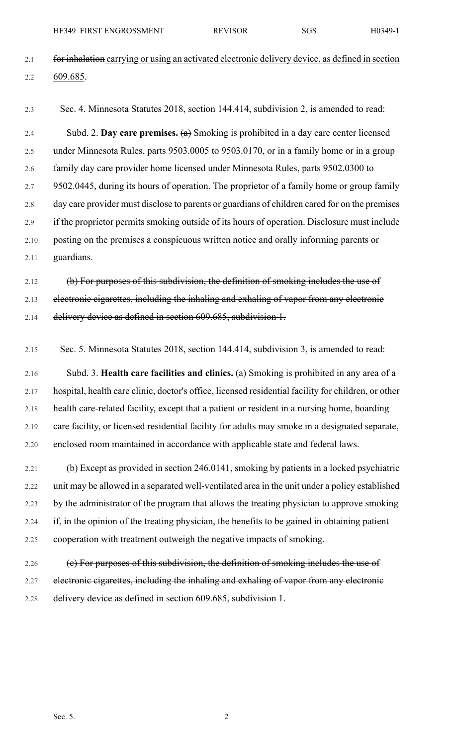HF349 FIRST ENGROSSMENT REVISOR SGS H0349-1

- 2.1 for inhalation carrying or using an activated electronic delivery device, as defined in section 2.2 609.685.
- 

2.3 Sec. 4. Minnesota Statutes 2018, section 144.414, subdivision 2, is amended to read:

2.4 Subd. 2. **Day care premises.** (a) Smoking is prohibited in a day care center licensed 2.5 under Minnesota Rules, parts 9503.0005 to 9503.0170, or in a family home or in a group 2.6 family day care provider home licensed under Minnesota Rules, parts 9502.0300 to 2.7 9502.0445, during its hours of operation. The proprietor of a family home or group family 2.8 day care provider must disclose to parents or guardians of children cared for on the premises 2.9 if the proprietor permits smoking outside of its hours of operation. Disclosure must include 2.10 posting on the premises a conspicuous written notice and orally informing parents or 2.11 guardians.

2.12 (b) For purposes of this subdivision, the definition of smoking includes the use of 2.13 electronic cigarettes, including the inhaling and exhaling of vapor from any electronic 2.14 delivery device as defined in section 609.685, subdivision 1.

2.15 Sec. 5. Minnesota Statutes 2018, section 144.414, subdivision 3, is amended to read:

2.16 Subd. 3. **Health care facilities and clinics.** (a) Smoking is prohibited in any area of a 2.17 hospital, health care clinic, doctor's office, licensed residential facility for children, or other 2.18 health care-related facility, except that a patient or resident in a nursing home, boarding 2.19 care facility, or licensed residential facility for adults may smoke in a designated separate, 2.20 enclosed room maintained in accordance with applicable state and federal laws.

2.21 (b) Except as provided in section 246.0141, smoking by patients in a locked psychiatric 2.22 unit may be allowed in a separated well-ventilated area in the unit under a policy established 2.23 by the administrator of the program that allows the treating physician to approve smoking 2.24 if, in the opinion of the treating physician, the benefits to be gained in obtaining patient 2.25 cooperation with treatment outweigh the negative impacts of smoking.

2.26 (e) For purposes of this subdivision, the definition of smoking includes the use of 2.27 electronic cigarettes, including the inhaling and exhaling of vapor from any electronic 2.28 delivery device as defined in section 609.685, subdivision 1.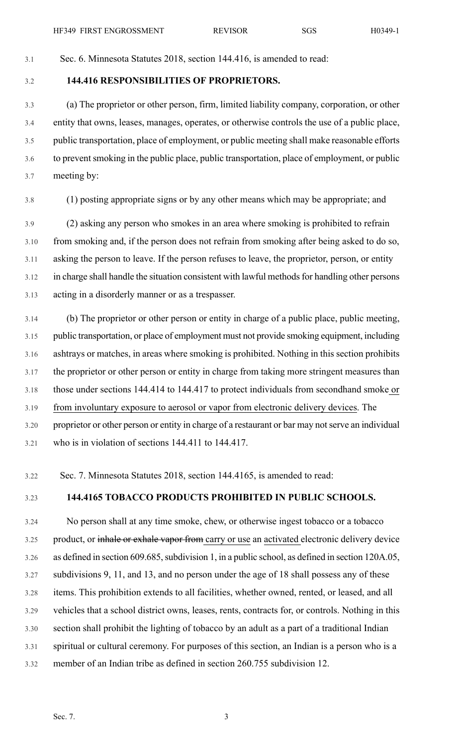# 3.1 Sec. 6. Minnesota Statutes 2018, section 144.416, is amended to read:

3.2 **144.416 RESPONSIBILITIES OF PROPRIETORS.**

3.3 (a) The proprietor or other person, firm, limited liability company, corporation, or other 3.4 entity that owns, leases, manages, operates, or otherwise controls the use of a public place, 3.5 public transportation, place of employment, or public meeting shall make reasonable efforts 3.6 to preventsmoking in the public place, public transportation, place of employment, or public 3.7 meeting by:

3.8 (1) posting appropriate signs or by any other means which may be appropriate; and

3.9 (2) asking any person who smokes in an area where smoking is prohibited to refrain 3.10 from smoking and, if the person does not refrain from smoking after being asked to do so, 3.11 asking the person to leave. If the person refuses to leave, the proprietor, person, or entity 3.12 in charge shall handle the situation consistent with lawful methods for handling other persons 3.13 acting in a disorderly manner or as a trespasser.

3.14 (b) The proprietor or other person or entity in charge of a public place, public meeting, 3.15 public transportation, or place of employment must not provide smoking equipment, including 3.16 ashtrays or matches, in areas where smoking is prohibited. Nothing in this section prohibits 3.17 the proprietor or other person or entity in charge from taking more stringent measures than 3.18 those under sections 144.414 to 144.417 to protect individuals from secondhand smoke or 3.19 from involuntary exposure to aerosol or vapor from electronic delivery devices. The 3.20 proprietor or other person or entity in charge of a restaurant or bar may notserve an individual 3.21 who is in violation of sections 144.411 to 144.417.

3.22 Sec. 7. Minnesota Statutes 2018, section 144.4165, is amended to read:

## 3.23 **144.4165 TOBACCO PRODUCTS PROHIBITED IN PUBLIC SCHOOLS.**

3.24 No person shall at any time smoke, chew, or otherwise ingest tobacco or a tobacco 3.25 product, or inhale or exhale vapor from carry or use an activated electronic delivery device 3.26 as defined in section 609.685, subdivision 1, in a public school, as defined in section 120A.05, 3.27 subdivisions 9, 11, and 13, and no person under the age of 18 shall possess any of these 3.28 items. This prohibition extends to all facilities, whether owned, rented, or leased, and all 3.29 vehicles that a school district owns, leases, rents, contracts for, or controls. Nothing in this 3.30 section shall prohibit the lighting of tobacco by an adult as a part of a traditional Indian 3.31 spiritual or cultural ceremony. For purposes of this section, an Indian is a person who is a 3.32 member of an Indian tribe as defined in section 260.755 subdivision 12.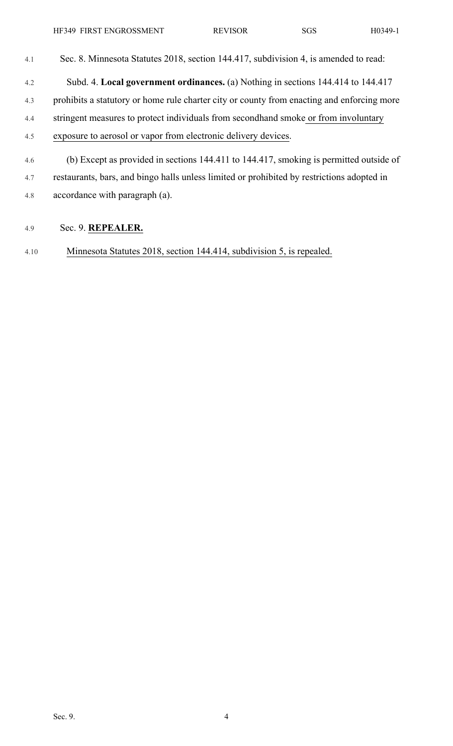- 4.1 Sec. 8. Minnesota Statutes 2018, section 144.417, subdivision 4, is amended to read: 4.2 Subd. 4. **Local government ordinances.** (a) Nothing in sections 144.414 to 144.417 4.3 prohibits a statutory or home rule charter city or county from enacting and enforcing more 4.4 stringent measures to protect individuals from secondhand smoke or from involuntary 4.5 exposure to aerosol or vapor from electronic delivery devices. 4.6 (b) Except as provided in sections 144.411 to 144.417, smoking is permitted outside of
- 4.7 restaurants, bars, and bingo halls unless limited or prohibited by restrictions adopted in 4.8 accordance with paragraph (a).

## 4.9 Sec. 9. **REPEALER.**

4.10 Minnesota Statutes 2018, section 144.414, subdivision 5, is repealed.